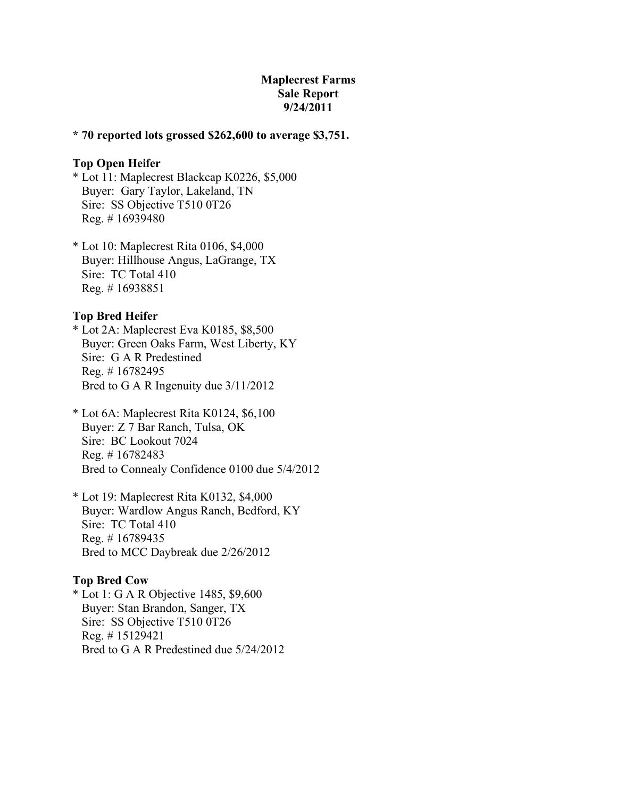# **Maplecrest Farms Sale Report 9/24/2011**

### **\* 70 reported lots grossed \$262,600 to average \$3,751.**

### **Top Open Heifer**

- \* Lot 11: Maplecrest Blackcap K0226, \$5,000 Buyer: Gary Taylor, Lakeland, TN Sire: SS Objective T510 0T26 Reg. # 16939480
- \* Lot 10: Maplecrest Rita 0106, \$4,000 Buyer: Hillhouse Angus, LaGrange, TX Sire: TC Total 410 Reg. # 16938851

### **Top Bred Heifer**

\* Lot 2A: Maplecrest Eva K0185, \$8,500 Buyer: Green Oaks Farm, West Liberty, KY Sire: G A R Predestined Reg. # 16782495 Bred to G A R Ingenuity due 3/11/2012

- \* Lot 6A: Maplecrest Rita K0124, \$6,100 Buyer: Z 7 Bar Ranch, Tulsa, OK Sire: BC Lookout 7024 Reg. # 16782483 Bred to Connealy Confidence 0100 due 5/4/2012
- \* Lot 19: Maplecrest Rita K0132, \$4,000 Buyer: Wardlow Angus Ranch, Bedford, KY Sire: TC Total 410 Reg. # 16789435 Bred to MCC Daybreak due 2/26/2012

#### **Top Bred Cow**

\* Lot 1: G A R Objective 1485, \$9,600 Buyer: Stan Brandon, Sanger, TX Sire: SS Objective T510 0T26 Reg. # 15129421 Bred to G A R Predestined due 5/24/2012